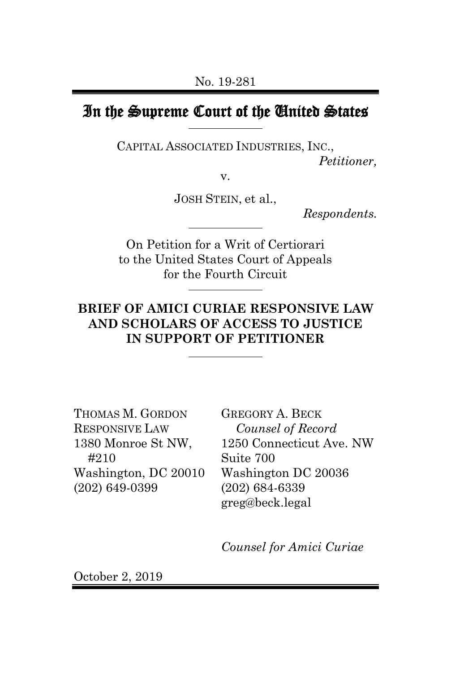# In the Supreme Court of the United States

CAPITAL ASSOCIATED INDUSTRIES, INC., *Petitioner,*

v.

JOSH STEIN, et al.,

*Respondents.*

On Petition for a Writ of Certiorari to the United States Court of Appeals for the Fourth Circuit

### **BRIEF OF AMICI CURIAE RESPONSIVE LAW AND SCHOLARS OF ACCESS TO JUSTICE IN SUPPORT OF PETITIONER**

THOMAS M. GORDON RESPONSIVE LAW 1380 Monroe St NW, #210 Washington, DC 20010 (202) 649-0399

GREGORY A. BECK *Counsel of Record* 1250 Connecticut Ave. NW Suite 700 Washington DC 20036 (202) 684-6339 greg@beck.legal

*Counsel for Amici Curiae*

October 2, 2019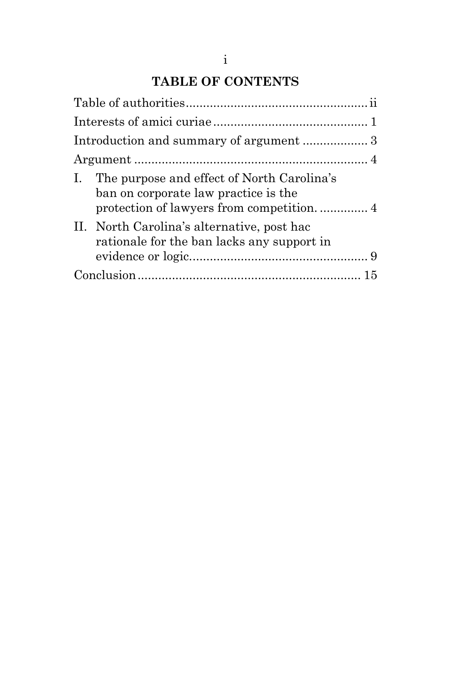## **TABLE OF CONTENTS**

| I. The purpose and effect of North Carolina's<br>ban on corporate law practice is the    |  |
|------------------------------------------------------------------------------------------|--|
| II. North Carolina's alternative, post hac<br>rationale for the ban lacks any support in |  |
|                                                                                          |  |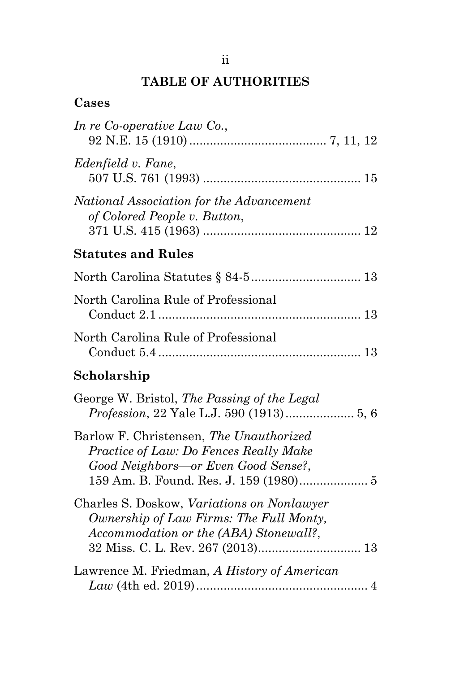# **TABLE OF AUTHORITIES**

## **Cases**

| In re Co-operative Law Co.,                                                                                                     |
|---------------------------------------------------------------------------------------------------------------------------------|
| Edenfield v. Fane,                                                                                                              |
| National Association for the Advancement<br>of Colored People v. Button,                                                        |
| <b>Statutes and Rules</b>                                                                                                       |
|                                                                                                                                 |
| North Carolina Rule of Professional                                                                                             |
| North Carolina Rule of Professional                                                                                             |
| Scholarship                                                                                                                     |
| George W. Bristol, The Passing of the Legal                                                                                     |
| Barlow F. Christensen, The Unauthorized<br>Practice of Law: Do Fences Really Make<br>Good Neighbors—or Even Good Sense?,        |
| Charles S. Doskow, Variations on Nonlawyer<br>Ownership of Law Firms: The Full Monty,<br>Accommodation or the (ABA) Stonewall?, |
| Lawrence M. Friedman, A History of American                                                                                     |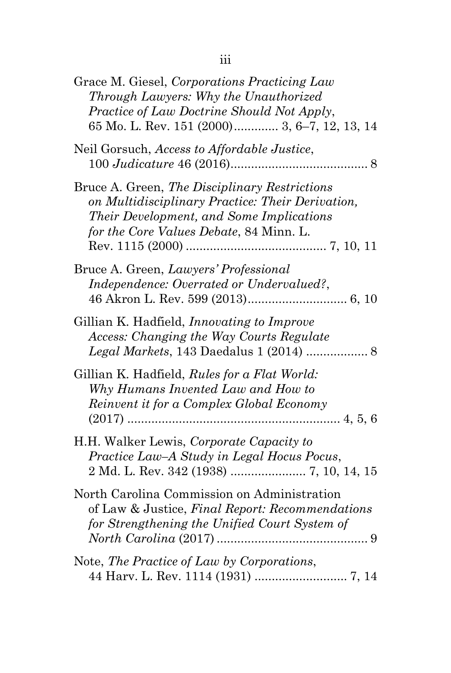| Grace M. Giesel, Corporations Practicing Law<br>Through Lawyers: Why the Unauthorized<br>Practice of Law Doctrine Should Not Apply,<br>65 Mo. L. Rev. 151 (2000) 3, 6–7, 12, 13, 14      |
|------------------------------------------------------------------------------------------------------------------------------------------------------------------------------------------|
| Neil Gorsuch, Access to Affordable Justice,                                                                                                                                              |
| Bruce A. Green, The Disciplinary Restrictions<br>on Multidisciplinary Practice: Their Derivation,<br>Their Development, and Some Implications<br>for the Core Values Debate, 84 Minn. L. |
| Bruce A. Green, Lawyers' Professional<br>Independence: Overrated or Undervalued?,                                                                                                        |
| Gillian K. Hadfield, <i>Innovating to Improve</i><br>Access: Changing the Way Courts Regulate<br>Legal Markets, 143 Daedalus 1 (2014)  8                                                 |
| Gillian K. Hadfield, Rules for a Flat World:<br>Why Humans Invented Law and How to<br>Reinvent it for a Complex Global Economy                                                           |
| H.H. Walker Lewis, Corporate Capacity to<br>Practice Law-A Study in Legal Hocus Pocus,                                                                                                   |
| North Carolina Commission on Administration<br>of Law & Justice, Final Report: Recommendations<br>for Strengthening the Unified Court System of                                          |
| Note, The Practice of Law by Corporations,                                                                                                                                               |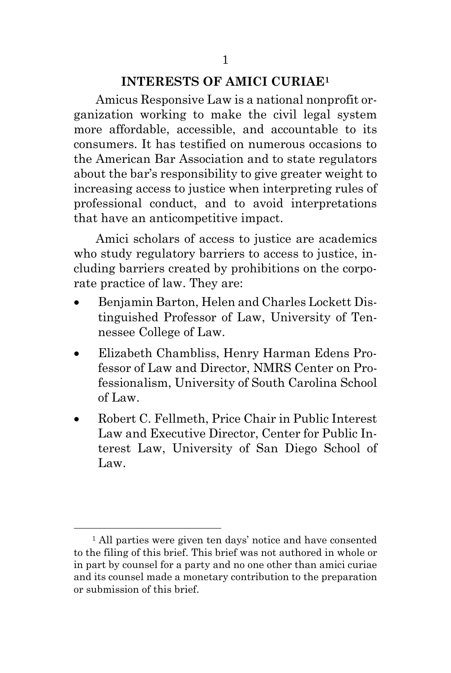## **INTERESTS OF AMICI CURIAE<sup>1</sup>**

Amicus Responsive Law is a national nonprofit organization working to make the civil legal system more affordable, accessible, and accountable to its consumers. It has testified on numerous occasions to the American Bar Association and to state regulators about the bar's responsibility to give greater weight to increasing access to justice when interpreting rules of professional conduct, and to avoid interpretations that have an anticompetitive impact.

Amici scholars of access to justice are academics who study regulatory barriers to access to justice, including barriers created by prohibitions on the corporate practice of law. They are:

- Benjamin Barton, Helen and Charles Lockett Distinguished Professor of Law, University of Tennessee College of Law.
- Elizabeth Chambliss, Henry Harman Edens Professor of Law and Director, NMRS Center on Professionalism, University of South Carolina School of Law.
- Robert C. Fellmeth, Price Chair in Public Interest Law and Executive Director, Center for Public Interest Law, University of San Diego School of Law.

<sup>&</sup>lt;sup>1</sup> All parties were given ten days' notice and have consented to the filing of this brief. This brief was not authored in whole or in part by counsel for a party and no one other than amici curiae and its counsel made a monetary contribution to the preparation or submission of this brief.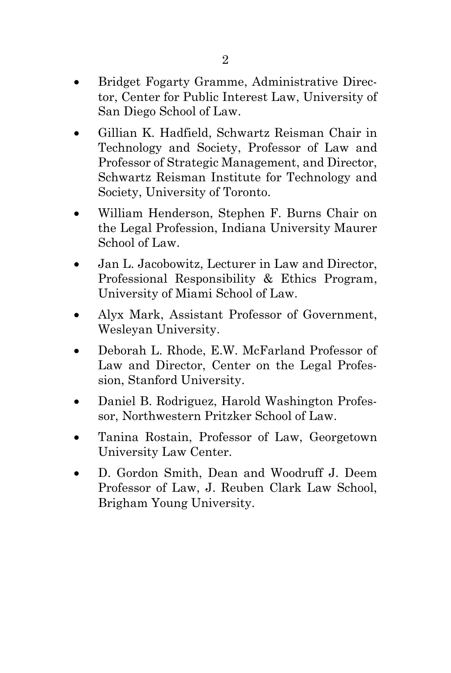- Bridget Fogarty Gramme, Administrative Director, Center for Public Interest Law, University of San Diego School of Law.
- Gillian K. Hadfield, Schwartz Reisman Chair in Technology and Society, Professor of Law and Professor of Strategic Management, and Director, Schwartz Reisman Institute for Technology and Society, University of Toronto.
- William Henderson, Stephen F. Burns Chair on the Legal Profession, Indiana University Maurer School of Law.
- Jan L. Jacobowitz, Lecturer in Law and Director, Professional Responsibility & Ethics Program, University of Miami School of Law.
- Alyx Mark, Assistant Professor of Government, Wesleyan University.
- Deborah L. Rhode, E.W. McFarland Professor of Law and Director, Center on the Legal Profession, Stanford University.
- Daniel B. Rodriguez, Harold Washington Professor, Northwestern Pritzker School of Law.
- Tanina Rostain, Professor of Law, Georgetown University Law Center.
- D. Gordon Smith, Dean and Woodruff J. Deem Professor of Law, J. Reuben Clark Law School, Brigham Young University.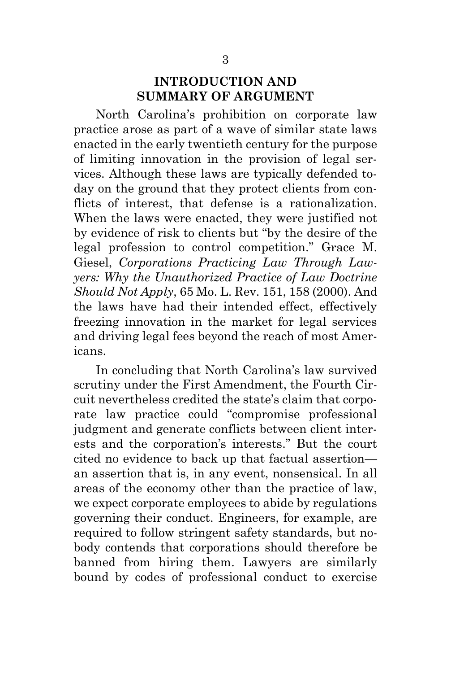#### **INTRODUCTION AND SUMMARY OF ARGUMENT**

North Carolina's prohibition on corporate law practice arose as part of a wave of similar state laws enacted in the early twentieth century for the purpose of limiting innovation in the provision of legal services. Although these laws are typically defended today on the ground that they protect clients from conflicts of interest, that defense is a rationalization. When the laws were enacted, they were justified not by evidence of risk to clients but "by the desire of the legal profession to control competition." Grace M. Giesel, *Corporations Practicing Law Through Lawyers: Why the Unauthorized Practice of Law Doctrine Should Not Apply*, 65 Mo. L. Rev. 151, 158 (2000). And the laws have had their intended effect, effectively freezing innovation in the market for legal services and driving legal fees beyond the reach of most Americans.

In concluding that North Carolina's law survived scrutiny under the First Amendment, the Fourth Circuit nevertheless credited the state's claim that corporate law practice could "compromise professional judgment and generate conflicts between client interests and the corporation's interests." But the court cited no evidence to back up that factual assertion an assertion that is, in any event, nonsensical. In all areas of the economy other than the practice of law, we expect corporate employees to abide by regulations governing their conduct. Engineers, for example, are required to follow stringent safety standards, but nobody contends that corporations should therefore be banned from hiring them. Lawyers are similarly bound by codes of professional conduct to exercise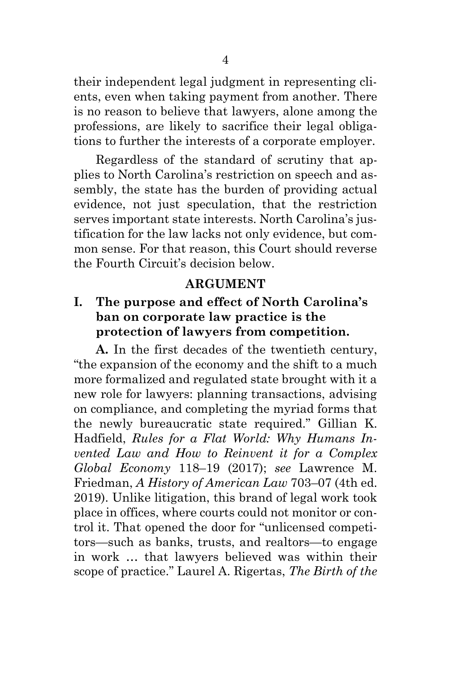their independent legal judgment in representing clients, even when taking payment from another. There is no reason to believe that lawyers, alone among the professions, are likely to sacrifice their legal obligations to further the interests of a corporate employer.

Regardless of the standard of scrutiny that applies to North Carolina's restriction on speech and assembly, the state has the burden of providing actual evidence, not just speculation, that the restriction serves important state interests. North Carolina's justification for the law lacks not only evidence, but common sense. For that reason, this Court should reverse the Fourth Circuit's decision below.

#### **ARGUMENT**

### **I. The purpose and effect of North Carolina's ban on corporate law practice is the protection of lawyers from competition.**

**A.** In the first decades of the twentieth century, "the expansion of the economy and the shift to a much more formalized and regulated state brought with it a new role for lawyers: planning transactions, advising on compliance, and completing the myriad forms that the newly bureaucratic state required." Gillian K. Hadfield, *Rules for a Flat World: Why Humans Invented Law and How to Reinvent it for a Complex Global Economy* 118–19 (2017); *see* Lawrence M. Friedman, *A History of American Law* 703–07 (4th ed. 2019). Unlike litigation, this brand of legal work took place in offices, where courts could not monitor or control it. That opened the door for "unlicensed competitors—such as banks, trusts, and realtors—to engage in work … that lawyers believed was within their scope of practice." Laurel A. Rigertas, *The Birth of the*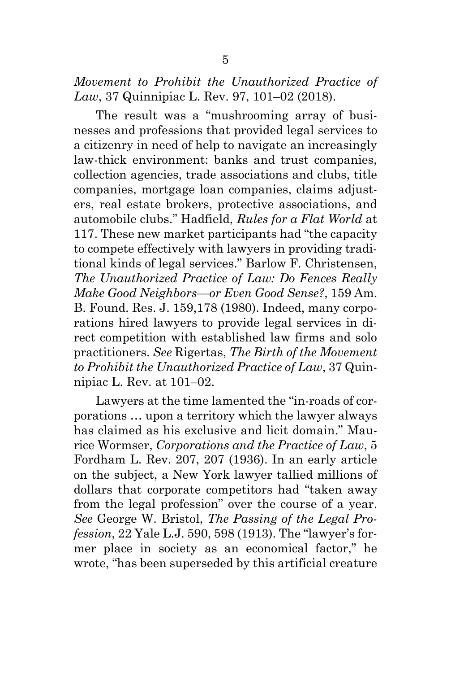*Movement to Prohibit the Unauthorized Practice of Law*, 37 Quinnipiac L. Rev. 97, 101–02 (2018).

The result was a "mushrooming array of businesses and professions that provided legal services to a citizenry in need of help to navigate an increasingly law-thick environment: banks and trust companies, collection agencies, trade associations and clubs, title companies, mortgage loan companies, claims adjusters, real estate brokers, protective associations, and automobile clubs." Hadfield, *Rules for a Flat World* at 117. These new market participants had "the capacity to compete effectively with lawyers in providing traditional kinds of legal services." Barlow F. Christensen, *The Unauthorized Practice of Law: Do Fences Really Make Good Neighbors—or Even Good Sense?*, 159 Am. B. Found. Res. J. 159,178 (1980). Indeed, many corporations hired lawyers to provide legal services in direct competition with established law firms and solo practitioners. *See* Rigertas, *The Birth of the Movement to Prohibit the Unauthorized Practice of Law*, 37 Quinnipiac L. Rev. at 101–02.

Lawyers at the time lamented the "in-roads of corporations … upon a territory which the lawyer always has claimed as his exclusive and licit domain." Maurice Wormser, *Corporations and the Practice of Law*, 5 Fordham L. Rev. 207, 207 (1936). In an early article on the subject, a New York lawyer tallied millions of dollars that corporate competitors had "taken away from the legal profession" over the course of a year. *See* George W. Bristol, *The Passing of the Legal Profession*, 22 Yale L.J. 590, 598 (1913). The "lawyer's former place in society as an economical factor," he wrote, "has been superseded by this artificial creature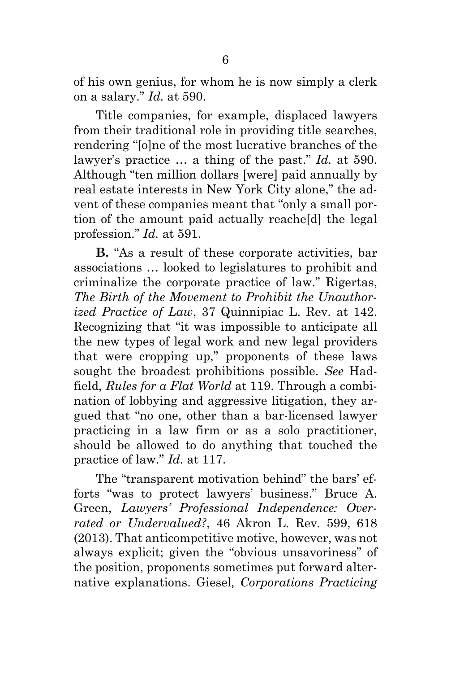of his own genius, for whom he is now simply a clerk on a salary." *Id.* at 590.

Title companies, for example, displaced lawyers from their traditional role in providing title searches, rendering "[o]ne of the most lucrative branches of the lawyer's practice … a thing of the past." *Id.* at 590. Although "ten million dollars [were] paid annually by real estate interests in New York City alone," the advent of these companies meant that "only a small portion of the amount paid actually reache[d] the legal profession." *Id.* at 591.

**B.** "As a result of these corporate activities, bar associations … looked to legislatures to prohibit and criminalize the corporate practice of law." Rigertas, *The Birth of the Movement to Prohibit the Unauthorized Practice of Law*, 37 Quinnipiac L. Rev. at 142. Recognizing that "it was impossible to anticipate all the new types of legal work and new legal providers that were cropping up," proponents of these laws sought the broadest prohibitions possible. *See* Hadfield, *Rules for a Flat World* at 119. Through a combination of lobbying and aggressive litigation, they argued that "no one, other than a bar-licensed lawyer practicing in a law firm or as a solo practitioner, should be allowed to do anything that touched the practice of law." *Id.* at 117.

The "transparent motivation behind" the bars' efforts "was to protect lawyers' business." Bruce A. Green, *Lawyers' Professional Independence: Overrated or Undervalued?*, 46 Akron L. Rev. 599, 618 (2013). That anticompetitive motive, however, was not always explicit; given the "obvious unsavoriness" of the position, proponents sometimes put forward alternative explanations. Giesel*, Corporations Practicing*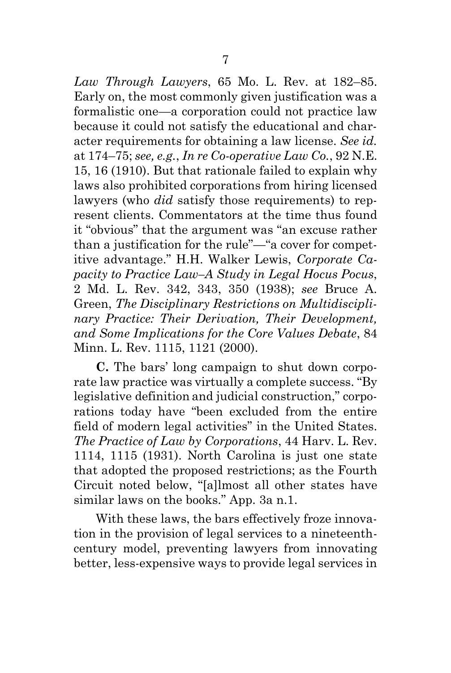*Law Through Lawyers*, 65 Mo. L. Rev. at 182–85. Early on, the most commonly given justification was a formalistic one—a corporation could not practice law because it could not satisfy the educational and character requirements for obtaining a law license. *See id.* at 174–75; *see, e.g.*, *In re Co-operative Law Co.*, 92 N.E. 15, 16 (1910). But that rationale failed to explain why laws also prohibited corporations from hiring licensed lawyers (who *did* satisfy those requirements) to represent clients. Commentators at the time thus found it "obvious" that the argument was "an excuse rather than a justification for the rule"—"a cover for competitive advantage." H.H. Walker Lewis, *Corporate Capacity to Practice Law–A Study in Legal Hocus Pocus*, 2 Md. L. Rev. 342, 343, 350 (1938); *see* Bruce A. Green, *The Disciplinary Restrictions on Multidisciplinary Practice: Their Derivation, Their Development, and Some Implications for the Core Values Debate*, 84 Minn. L. Rev. 1115, 1121 (2000).

**C.** The bars' long campaign to shut down corporate law practice was virtually a complete success. "By legislative definition and judicial construction," corporations today have "been excluded from the entire field of modern legal activities" in the United States. *The Practice of Law by Corporations*, 44 Harv. L. Rev. 1114, 1115 (1931). North Carolina is just one state that adopted the proposed restrictions; as the Fourth Circuit noted below, "[a]lmost all other states have similar laws on the books." App. 3a n.1.

With these laws, the bars effectively froze innovation in the provision of legal services to a nineteenthcentury model, preventing lawyers from innovating better, less-expensive ways to provide legal services in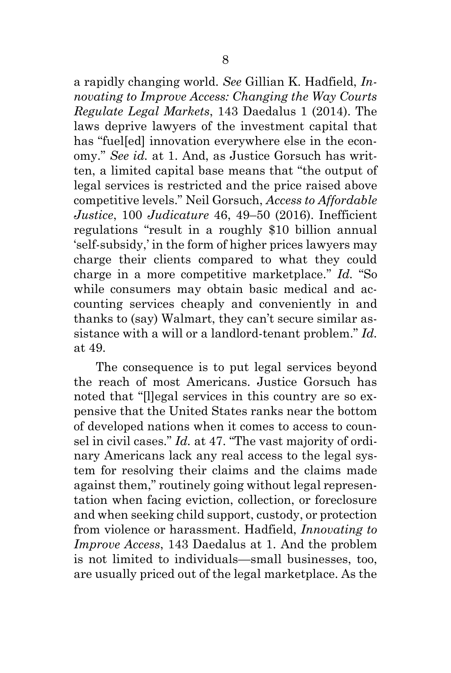a rapidly changing world. *See* Gillian K. Hadfield, *Innovating to Improve Access: Changing the Way Courts Regulate Legal Markets*, 143 Daedalus 1 (2014). The laws deprive lawyers of the investment capital that has "fuel[ed] innovation everywhere else in the economy." *See id.* at 1. And, as Justice Gorsuch has written, a limited capital base means that "the output of legal services is restricted and the price raised above competitive levels." Neil Gorsuch, *Access to Affordable Justice*, 100 *Judicature* 46, 49–50 (2016). Inefficient regulations "result in a roughly \$10 billion annual 'self-subsidy,' in the form of higher prices lawyers may charge their clients compared to what they could charge in a more competitive marketplace." *Id.* "So while consumers may obtain basic medical and accounting services cheaply and conveniently in and thanks to (say) Walmart, they can't secure similar assistance with a will or a landlord-tenant problem." *Id.*  at 49.

The consequence is to put legal services beyond the reach of most Americans. Justice Gorsuch has noted that "[l]egal services in this country are so expensive that the United States ranks near the bottom of developed nations when it comes to access to counsel in civil cases." *Id.* at 47. "The vast majority of ordinary Americans lack any real access to the legal system for resolving their claims and the claims made against them," routinely going without legal representation when facing eviction, collection, or foreclosure and when seeking child support, custody, or protection from violence or harassment. Hadfield, *Innovating to Improve Access*, 143 Daedalus at 1. And the problem is not limited to individuals—small businesses, too, are usually priced out of the legal marketplace. As the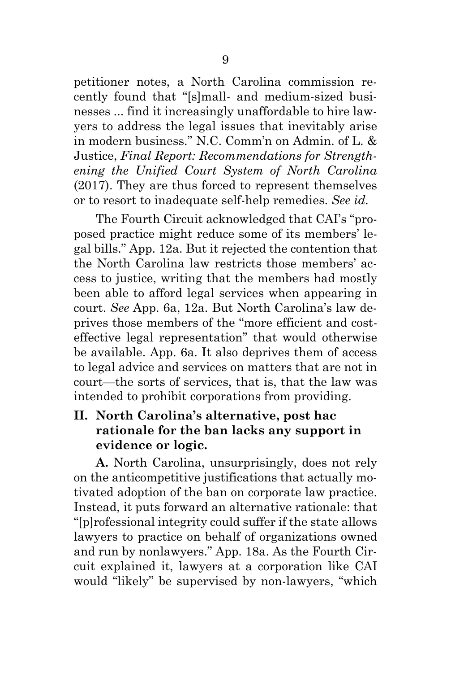petitioner notes, a North Carolina commission recently found that "[s]mall- and medium-sized businesses ... find it increasingly unaffordable to hire lawyers to address the legal issues that inevitably arise in modern business." N.C. Comm'n on Admin. of L. & Justice, *Final Report: Recommendations for Strengthening the Unified Court System of North Carolina* (2017). They are thus forced to represent themselves or to resort to inadequate self-help remedies. *See id.*

The Fourth Circuit acknowledged that CAI's "proposed practice might reduce some of its members' legal bills." App. 12a. But it rejected the contention that the North Carolina law restricts those members' access to justice, writing that the members had mostly been able to afford legal services when appearing in court. *See* App. 6a, 12a. But North Carolina's law deprives those members of the "more efficient and costeffective legal representation" that would otherwise be available. App. 6a. It also deprives them of access to legal advice and services on matters that are not in court—the sorts of services, that is, that the law was intended to prohibit corporations from providing.

## **II. North Carolina's alternative, post hac rationale for the ban lacks any support in evidence or logic.**

**A.** North Carolina, unsurprisingly, does not rely on the anticompetitive justifications that actually motivated adoption of the ban on corporate law practice. Instead, it puts forward an alternative rationale: that "[p]rofessional integrity could suffer if the state allows lawyers to practice on behalf of organizations owned and run by nonlawyers." App. 18a. As the Fourth Circuit explained it, lawyers at a corporation like CAI would "likely" be supervised by non-lawyers, "which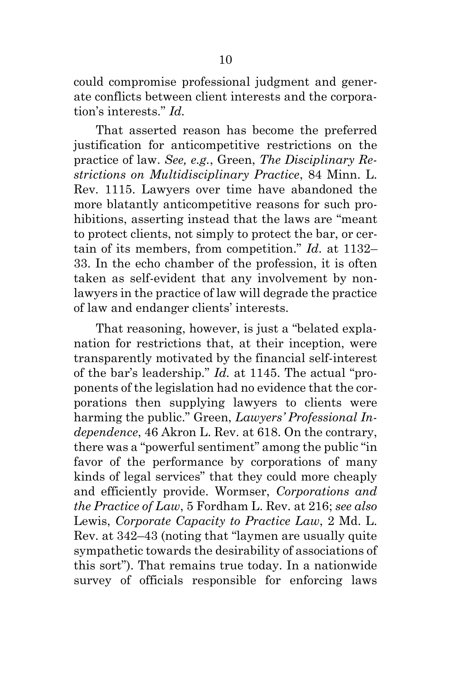could compromise professional judgment and generate conflicts between client interests and the corporation's interests." *Id.*

That asserted reason has become the preferred justification for anticompetitive restrictions on the practice of law. *See, e.g.*, Green, *The Disciplinary Restrictions on Multidisciplinary Practice*, 84 Minn. L. Rev. 1115. Lawyers over time have abandoned the more blatantly anticompetitive reasons for such prohibitions, asserting instead that the laws are "meant to protect clients, not simply to protect the bar, or certain of its members, from competition." *Id.* at 1132– 33. In the echo chamber of the profession, it is often taken as self-evident that any involvement by nonlawyers in the practice of law will degrade the practice of law and endanger clients' interests.

That reasoning, however, is just a "belated explanation for restrictions that, at their inception, were transparently motivated by the financial self-interest of the bar's leadership." *Id.* at 1145. The actual "proponents of the legislation had no evidence that the corporations then supplying lawyers to clients were harming the public." Green, *Lawyers' Professional Independence*, 46 Akron L. Rev. at 618. On the contrary, there was a "powerful sentiment" among the public "in favor of the performance by corporations of many kinds of legal services" that they could more cheaply and efficiently provide. Wormser, *Corporations and the Practice of Law*, 5 Fordham L. Rev. at 216; *see also*  Lewis, *Corporate Capacity to Practice Law*, 2 Md. L. Rev. at 342–43 (noting that "laymen are usually quite sympathetic towards the desirability of associations of this sort"). That remains true today. In a nationwide survey of officials responsible for enforcing laws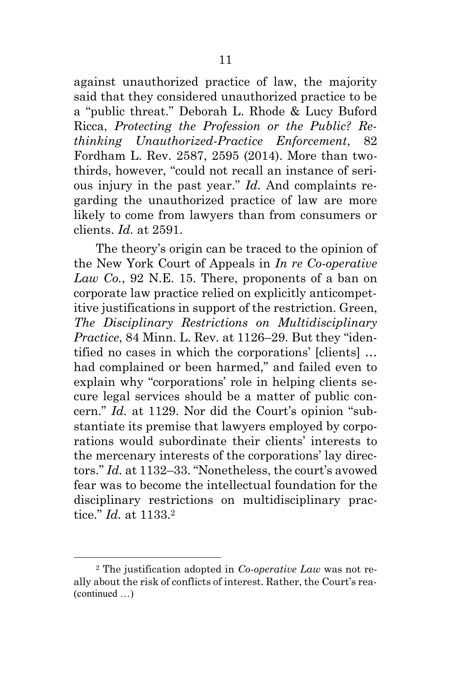against unauthorized practice of law, the majority said that they considered unauthorized practice to be a "public threat." Deborah L. Rhode & Lucy Buford Ricca, *Protecting the Profession or the Public? Rethinking Unauthorized-Practice Enforcement*, 82 Fordham L. Rev. 2587, 2595 (2014). More than twothirds, however, "could not recall an instance of serious injury in the past year." *Id.* And complaints regarding the unauthorized practice of law are more likely to come from lawyers than from consumers or clients. *Id.* at 2591.

The theory's origin can be traced to the opinion of the New York Court of Appeals in *In re Co-operative Law Co.*, 92 N.E. 15. There, proponents of a ban on corporate law practice relied on explicitly anticompetitive justifications in support of the restriction. Green, *The Disciplinary Restrictions on Multidisciplinary Practice*, 84 Minn. L. Rev. at 1126–29. But they "identified no cases in which the corporations' [clients] … had complained or been harmed," and failed even to explain why "corporations' role in helping clients secure legal services should be a matter of public concern." *Id.* at 1129. Nor did the Court's opinion "substantiate its premise that lawyers employed by corporations would subordinate their clients' interests to the mercenary interests of the corporations' lay directors." *Id.* at 1132–33. "Nonetheless, the court's avowed fear was to become the intellectual foundation for the disciplinary restrictions on multidisciplinary practice." *Id.* at 1133. 2

<sup>2</sup> The justification adopted in *Co-operative Law* was not really about the risk of conflicts of interest. Rather, the Court's rea- (continued …)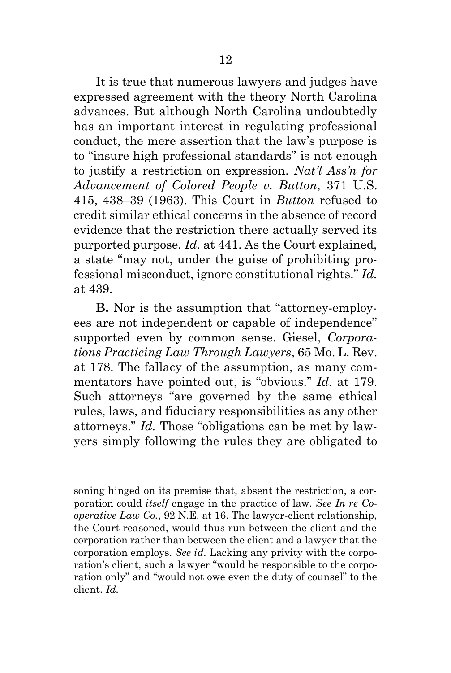It is true that numerous lawyers and judges have expressed agreement with the theory North Carolina advances. But although North Carolina undoubtedly has an important interest in regulating professional conduct, the mere assertion that the law's purpose is to "insure high professional standards" is not enough to justify a restriction on expression. *Nat'l Ass'n for Advancement of Colored People v. Button*, 371 U.S. 415, 438–39 (1963). This Court in *Button* refused to credit similar ethical concerns in the absence of record evidence that the restriction there actually served its purported purpose. *Id.* at 441. As the Court explained, a state "may not, under the guise of prohibiting professional misconduct, ignore constitutional rights." *Id.* at 439.

**B.** Nor is the assumption that "attorney-employees are not independent or capable of independence" supported even by common sense. Giesel, *Corporations Practicing Law Through Lawyers*, 65 Mo. L. Rev. at 178. The fallacy of the assumption, as many commentators have pointed out, is "obvious." *Id.* at 179. Such attorneys "are governed by the same ethical rules, laws, and fiduciary responsibilities as any other attorneys." *Id.* Those "obligations can be met by lawyers simply following the rules they are obligated to

soning hinged on its premise that, absent the restriction, a corporation could *itself* engage in the practice of law. *See In re Cooperative Law Co.*, 92 N.E. at 16. The lawyer-client relationship, the Court reasoned, would thus run between the client and the corporation rather than between the client and a lawyer that the corporation employs. *See id.* Lacking any privity with the corporation's client, such a lawyer "would be responsible to the corporation only" and "would not owe even the duty of counsel" to the client. *Id.*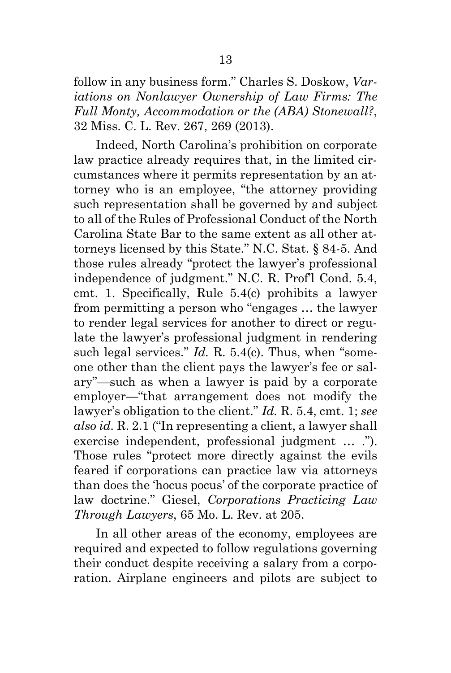follow in any business form." Charles S. Doskow, *Variations on Nonlawyer Ownership of Law Firms: The Full Monty, Accommodation or the (ABA) Stonewall?*, 32 Miss. C. L. Rev. 267, 269 (2013).

Indeed, North Carolina's prohibition on corporate law practice already requires that, in the limited circumstances where it permits representation by an attorney who is an employee, "the attorney providing such representation shall be governed by and subject to all of the Rules of Professional Conduct of the North Carolina State Bar to the same extent as all other attorneys licensed by this State." N.C. Stat. § 84-5. And those rules already "protect the lawyer's professional independence of judgment." N.C. R. Prof'l Cond. 5.4, cmt. 1. Specifically, Rule 5.4(c) prohibits a lawyer from permitting a person who "engages … the lawyer to render legal services for another to direct or regulate the lawyer's professional judgment in rendering such legal services." *Id. R.* 5.4(c). Thus, when "someone other than the client pays the lawyer's fee or salary"—such as when a lawyer is paid by a corporate employer—"that arrangement does not modify the lawyer's obligation to the client." *Id.* R. 5.4, cmt. 1; *see also id.* R. 2.1 ("In representing a client, a lawyer shall exercise independent, professional judgment … ."). Those rules "protect more directly against the evils feared if corporations can practice law via attorneys than does the 'hocus pocus' of the corporate practice of law doctrine." Giesel, *Corporations Practicing Law Through Lawyers*, 65 Mo. L. Rev. at 205.

In all other areas of the economy, employees are required and expected to follow regulations governing their conduct despite receiving a salary from a corporation. Airplane engineers and pilots are subject to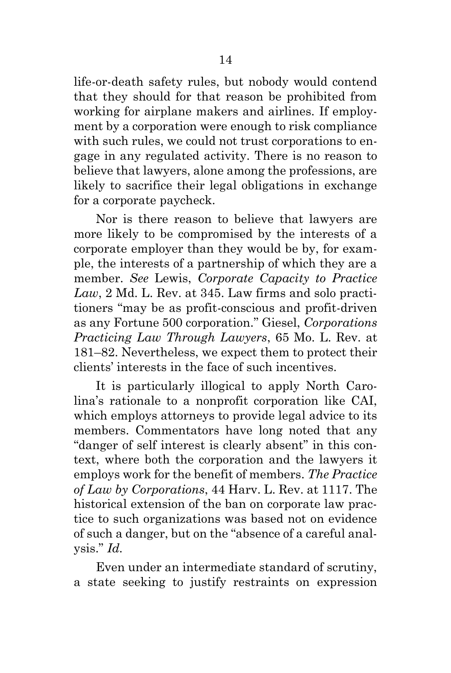life-or-death safety rules, but nobody would contend that they should for that reason be prohibited from working for airplane makers and airlines. If employment by a corporation were enough to risk compliance with such rules, we could not trust corporations to engage in any regulated activity. There is no reason to believe that lawyers, alone among the professions, are likely to sacrifice their legal obligations in exchange for a corporate paycheck.

Nor is there reason to believe that lawyers are more likely to be compromised by the interests of a corporate employer than they would be by, for example, the interests of a partnership of which they are a member. *See* Lewis, *Corporate Capacity to Practice Law*, 2 Md. L. Rev. at 345. Law firms and solo practitioners "may be as profit-conscious and profit-driven as any Fortune 500 corporation." Giesel, *Corporations Practicing Law Through Lawyers*, 65 Mo. L. Rev. at 181–82. Nevertheless, we expect them to protect their clients' interests in the face of such incentives.

It is particularly illogical to apply North Carolina's rationale to a nonprofit corporation like CAI, which employs attorneys to provide legal advice to its members. Commentators have long noted that any "danger of self interest is clearly absent" in this context, where both the corporation and the lawyers it employs work for the benefit of members. *The Practice of Law by Corporations*, 44 Harv. L. Rev. at 1117. The historical extension of the ban on corporate law practice to such organizations was based not on evidence of such a danger, but on the "absence of a careful analysis." *Id.*

Even under an intermediate standard of scrutiny, a state seeking to justify restraints on expression